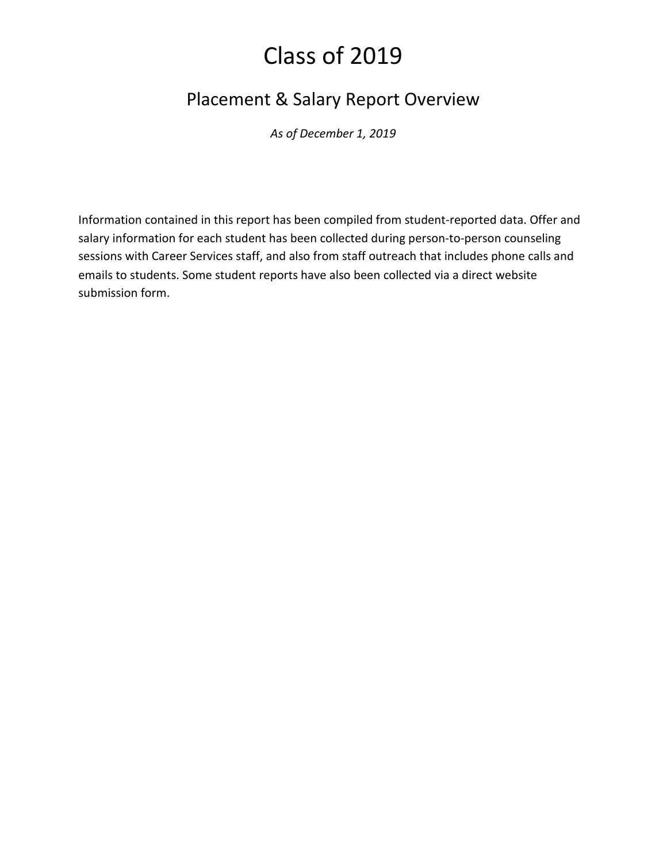# Placement & Salary Report Overview

*As of December 1, 2019*

Information contained in this report has been compiled from student-reported data. Offer and salary information for each student has been collected during person-to-person counseling sessions with Career Services staff, and also from staff outreach that includes phone calls and emails to students. Some student reports have also been collected via a direct website submission form.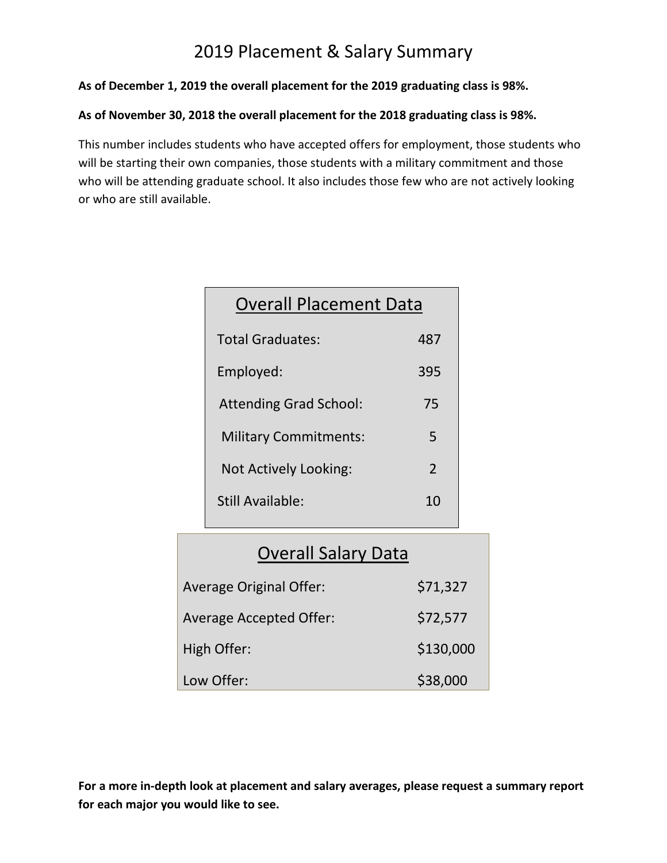# 2019 Placement & Salary Summary

**As of December 1, 2019 the overall placement for the 2019 graduating class is 98%.**

#### **As of November 30, 2018 the overall placement for the 2018 graduating class is 98%.**

This number includes students who have accepted offers for employment, those students who will be starting their own companies, those students with a military commitment and those who will be attending graduate school. It also includes those few who are not actively looking or who are still available.

| <b>Overall Placement Data</b> |     |
|-------------------------------|-----|
| <b>Total Graduates:</b>       | 487 |
| Employed:                     | 395 |
| <b>Attending Grad School:</b> | 75  |
| <b>Military Commitments:</b>  | 5   |
| Not Actively Looking:         | 2   |
| Still Available:              | 10  |
|                               |     |

# Overall Salary Data

| <b>Average Original Offer:</b> | \$71,327  |
|--------------------------------|-----------|
| <b>Average Accepted Offer:</b> | \$72,577  |
| High Offer:                    | \$130,000 |
| Low Offer:                     | \$38,000  |

**For a more in-depth look at placement and salary averages, please request a summary report for each major you would like to see.**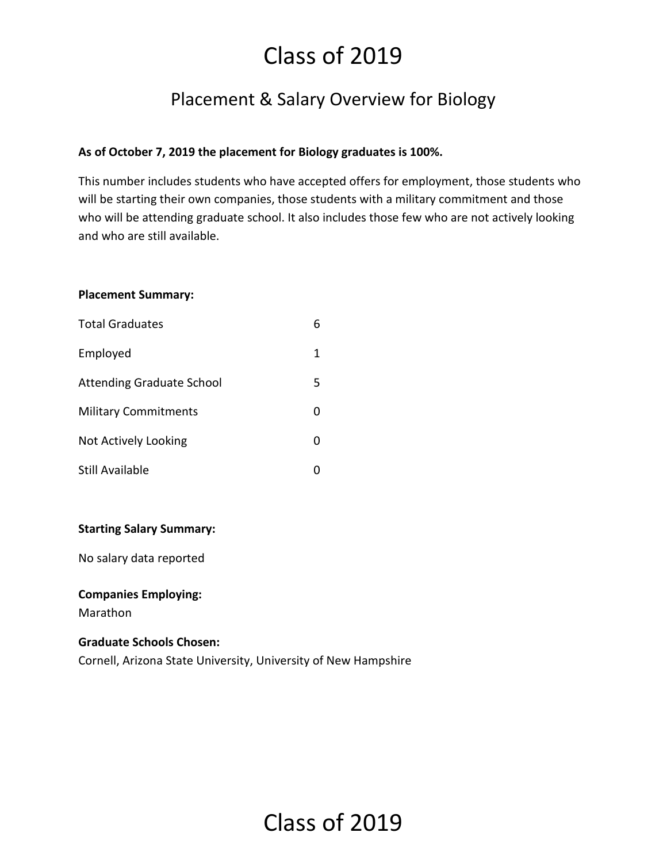# Placement & Salary Overview for Biology

## **As of October 7, 2019 the placement for Biology graduates is 100%.**

This number includes students who have accepted offers for employment, those students who will be starting their own companies, those students with a military commitment and those who will be attending graduate school. It also includes those few who are not actively looking and who are still available.

#### **Placement Summary:**

| <b>Total Graduates</b>           | 6 |
|----------------------------------|---|
| Employed                         | 1 |
| <b>Attending Graduate School</b> | 5 |
| <b>Military Commitments</b>      | ი |
| Not Actively Looking             | 0 |
| Still Available                  |   |

#### **Starting Salary Summary:**

No salary data reported

#### **Companies Employing:**

Marathon

#### **Graduate Schools Chosen:**

Cornell, Arizona State University, University of New Hampshire

# Class of 2019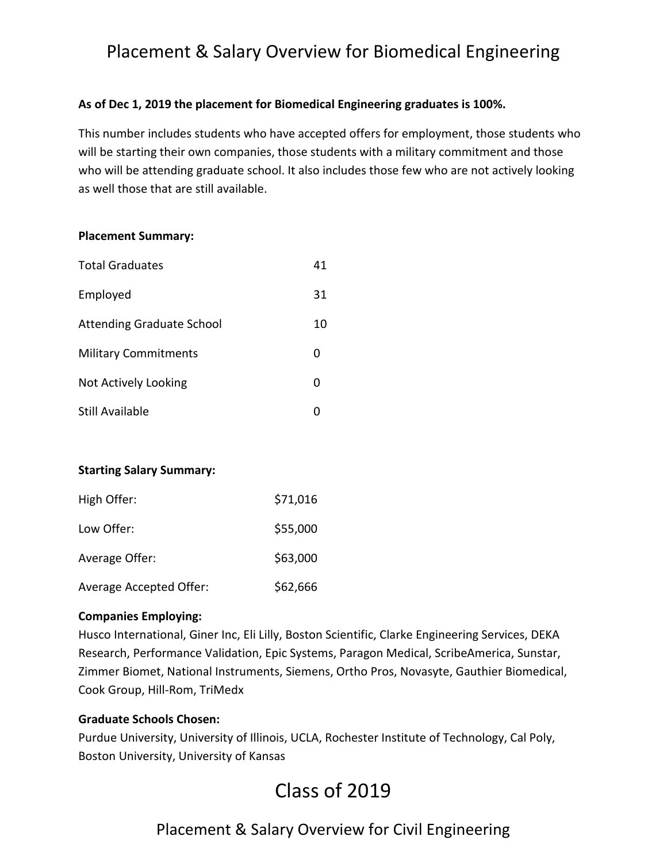# Placement & Salary Overview for Biomedical Engineering

## **As of Dec 1, 2019 the placement for Biomedical Engineering graduates is 100%.**

This number includes students who have accepted offers for employment, those students who will be starting their own companies, those students with a military commitment and those who will be attending graduate school. It also includes those few who are not actively looking as well those that are still available.

#### **Placement Summary:**

| <b>Total Graduates</b>           | 41 |
|----------------------------------|----|
| Employed                         | 31 |
| <b>Attending Graduate School</b> | 10 |
| <b>Military Commitments</b>      | n  |
| Not Actively Looking             | O  |
| Still Available                  |    |

## **Starting Salary Summary:**

| High Offer:             | \$71,016 |
|-------------------------|----------|
| Low Offer:              | \$55,000 |
| Average Offer:          | \$63,000 |
| Average Accepted Offer: | \$62,666 |

## **Companies Employing:**

Husco International, Giner Inc, Eli Lilly, Boston Scientific, Clarke Engineering Services, DEKA Research, Performance Validation, Epic Systems, Paragon Medical, ScribeAmerica, Sunstar, Zimmer Biomet, National Instruments, Siemens, Ortho Pros, Novasyte, Gauthier Biomedical, Cook Group, Hill-Rom, TriMedx

## **Graduate Schools Chosen:**

Purdue University, University of Illinois, UCLA, Rochester Institute of Technology, Cal Poly, Boston University, University of Kansas

# Class of 2019

# Placement & Salary Overview for Civil Engineering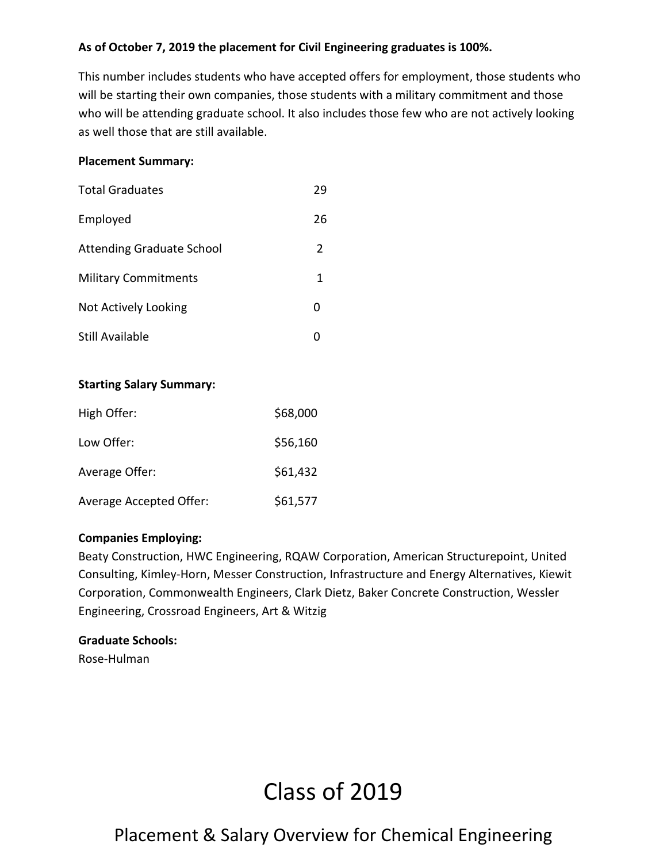## **As of October 7, 2019 the placement for Civil Engineering graduates is 100%.**

This number includes students who have accepted offers for employment, those students who will be starting their own companies, those students with a military commitment and those who will be attending graduate school. It also includes those few who are not actively looking as well those that are still available.

#### **Placement Summary:**

| <b>Total Graduates</b>           | 29 |
|----------------------------------|----|
| Employed                         | 26 |
| <b>Attending Graduate School</b> | 2  |
| <b>Military Commitments</b>      | 1  |
| Not Actively Looking             |    |
| Still Available                  |    |

## **Starting Salary Summary:**

| High Offer:             | \$68,000 |
|-------------------------|----------|
| Low Offer:              | \$56,160 |
| Average Offer:          | \$61,432 |
| Average Accepted Offer: | \$61,577 |

#### **Companies Employing:**

Beaty Construction, HWC Engineering, RQAW Corporation, American Structurepoint, United Consulting, Kimley-Horn, Messer Construction, Infrastructure and Energy Alternatives, Kiewit Corporation, Commonwealth Engineers, Clark Dietz, Baker Concrete Construction, Wessler Engineering, Crossroad Engineers, Art & Witzig

#### **Graduate Schools:**

Rose-Hulman

# Class of 2019

# Placement & Salary Overview for Chemical Engineering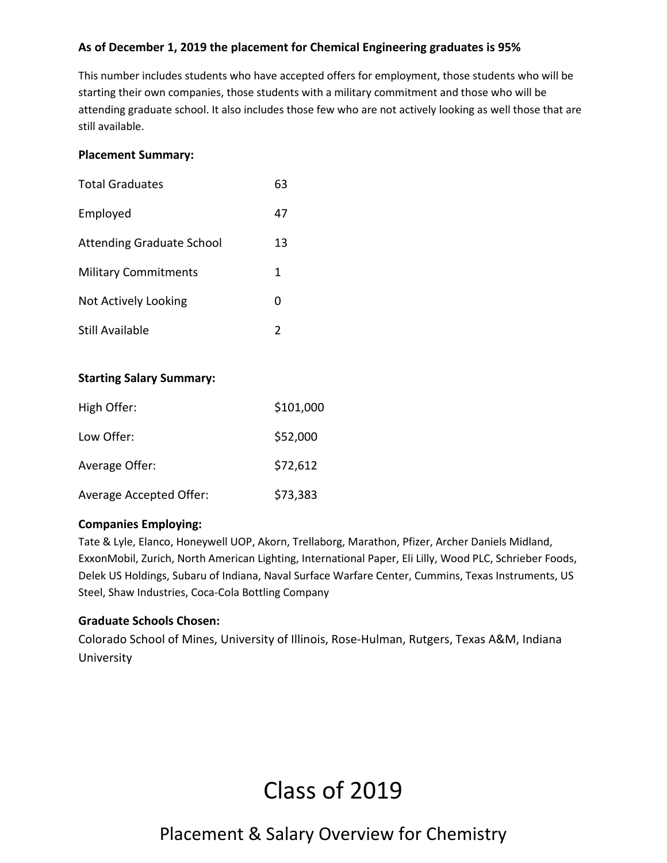## **As of December 1, 2019 the placement for Chemical Engineering graduates is 95%**

This number includes students who have accepted offers for employment, those students who will be starting their own companies, those students with a military commitment and those who will be attending graduate school. It also includes those few who are not actively looking as well those that are still available.

#### **Placement Summary:**

| <b>Total Graduates</b>           | 63 |
|----------------------------------|----|
| Employed                         | 47 |
| <b>Attending Graduate School</b> | 13 |
| <b>Military Commitments</b>      | 1  |
| Not Actively Looking             | O  |
| Still Available                  | 2  |

## **Starting Salary Summary:**

| High Offer:                    | \$101,000 |
|--------------------------------|-----------|
| Low Offer:                     | \$52,000  |
| Average Offer:                 | \$72,612  |
| <b>Average Accepted Offer:</b> | \$73,383  |

#### **Companies Employing:**

Tate & Lyle, Elanco, Honeywell UOP, Akorn, Trellaborg, Marathon, Pfizer, Archer Daniels Midland, ExxonMobil, Zurich, North American Lighting, International Paper, Eli Lilly, Wood PLC, Schrieber Foods, Delek US Holdings, Subaru of Indiana, Naval Surface Warfare Center, Cummins, Texas Instruments, US Steel, Shaw Industries, Coca-Cola Bottling Company

## **Graduate Schools Chosen:**

Colorado School of Mines, University of Illinois, Rose-Hulman, Rutgers, Texas A&M, Indiana University

# Class of 2019

# Placement & Salary Overview for Chemistry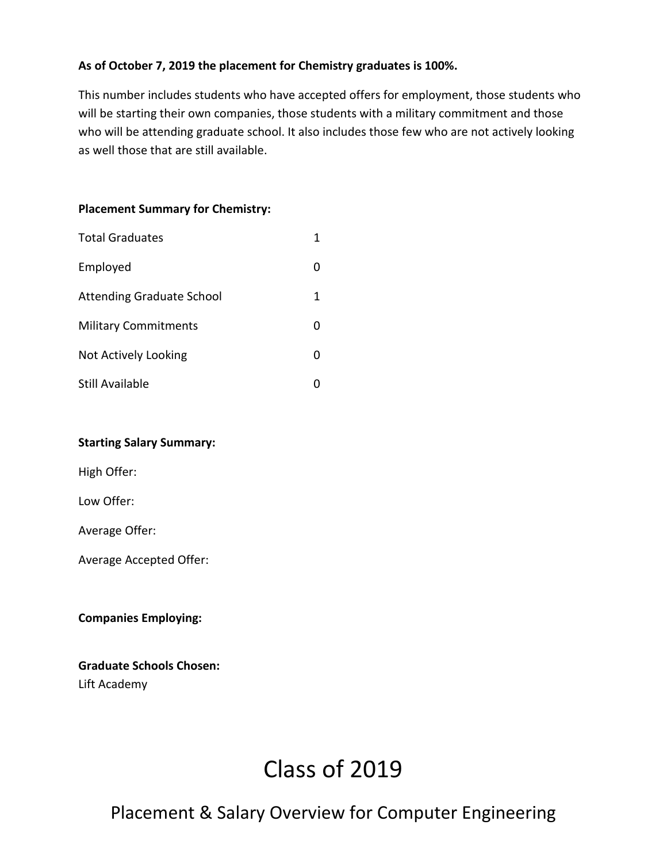## **As of October 7, 2019 the placement for Chemistry graduates is 100%.**

This number includes students who have accepted offers for employment, those students who will be starting their own companies, those students with a military commitment and those who will be attending graduate school. It also includes those few who are not actively looking as well those that are still available.

## **Placement Summary for Chemistry:**

| <b>Total Graduates</b>           |   |
|----------------------------------|---|
| Employed                         |   |
| <b>Attending Graduate School</b> | 1 |
| <b>Military Commitments</b>      |   |
| Not Actively Looking             |   |
| Still Available                  |   |

## **Starting Salary Summary:**

High Offer:

Low Offer:

Average Offer:

Average Accepted Offer:

**Companies Employing:**

## **Graduate Schools Chosen:** Lift Academy

# Class of 2019

# Placement & Salary Overview for Computer Engineering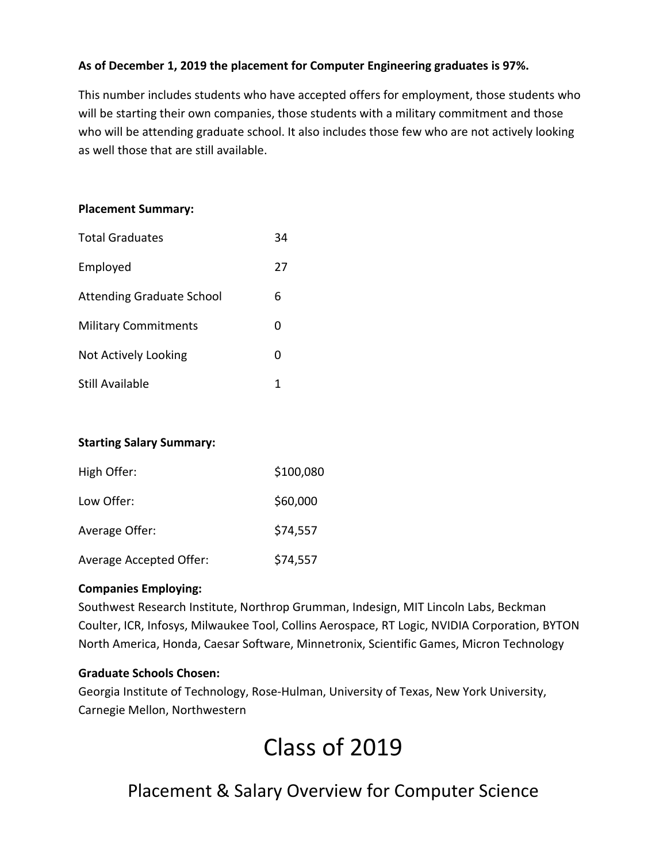## **As of December 1, 2019 the placement for Computer Engineering graduates is 97%.**

This number includes students who have accepted offers for employment, those students who will be starting their own companies, those students with a military commitment and those who will be attending graduate school. It also includes those few who are not actively looking as well those that are still available.

#### **Placement Summary:**

| <b>Total Graduates</b>           | 34 |
|----------------------------------|----|
| Employed                         | 27 |
| <b>Attending Graduate School</b> | 6  |
| <b>Military Commitments</b>      | O  |
| Not Actively Looking             |    |
| Still Available                  |    |

## **Starting Salary Summary:**

| High Offer:             | \$100,080 |
|-------------------------|-----------|
| Low Offer:              | \$60,000  |
| Average Offer:          | \$74,557  |
| Average Accepted Offer: | \$74,557  |

## **Companies Employing:**

Southwest Research Institute, Northrop Grumman, Indesign, MIT Lincoln Labs, Beckman Coulter, ICR, Infosys, Milwaukee Tool, Collins Aerospace, RT Logic, NVIDIA Corporation, BYTON North America, Honda, Caesar Software, Minnetronix, Scientific Games, Micron Technology

#### **Graduate Schools Chosen:**

Georgia Institute of Technology, Rose-Hulman, University of Texas, New York University, Carnegie Mellon, Northwestern

# Class of 2019

# Placement & Salary Overview for Computer Science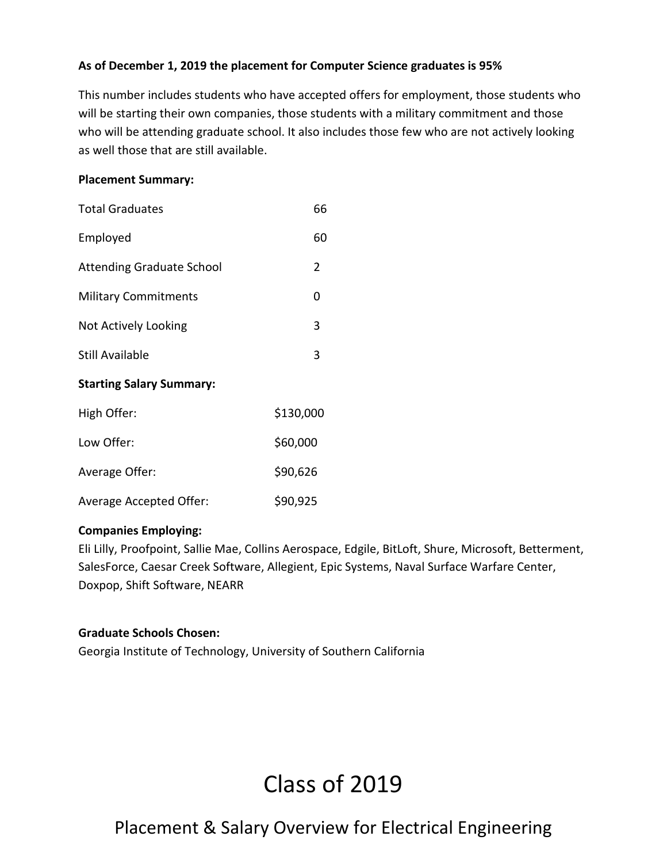## **As of December 1, 2019 the placement for Computer Science graduates is 95%**

This number includes students who have accepted offers for employment, those students who will be starting their own companies, those students with a military commitment and those who will be attending graduate school. It also includes those few who are not actively looking as well those that are still available.

#### **Placement Summary:**

| <b>Total Graduates</b>           | 66             |
|----------------------------------|----------------|
| Employed                         | 60             |
| <b>Attending Graduate School</b> | $\overline{2}$ |
| <b>Military Commitments</b>      | 0              |
| Not Actively Looking             | 3              |
| <b>Still Available</b>           | 3              |
| <b>Starting Salary Summary:</b>  |                |
| High Offer:                      | \$130,000      |

| .                              |          |
|--------------------------------|----------|
| Low Offer:                     | \$60,000 |
| Average Offer:                 | \$90,626 |
| <b>Average Accepted Offer:</b> | \$90,925 |

## **Companies Employing:**

Eli Lilly, Proofpoint, Sallie Mae, Collins Aerospace, Edgile, BitLoft, Shure, Microsoft, Betterment, SalesForce, Caesar Creek Software, Allegient, Epic Systems, Naval Surface Warfare Center, Doxpop, Shift Software, NEARR

## **Graduate Schools Chosen:**

Georgia Institute of Technology, University of Southern California

# Class of 2019

# Placement & Salary Overview for Electrical Engineering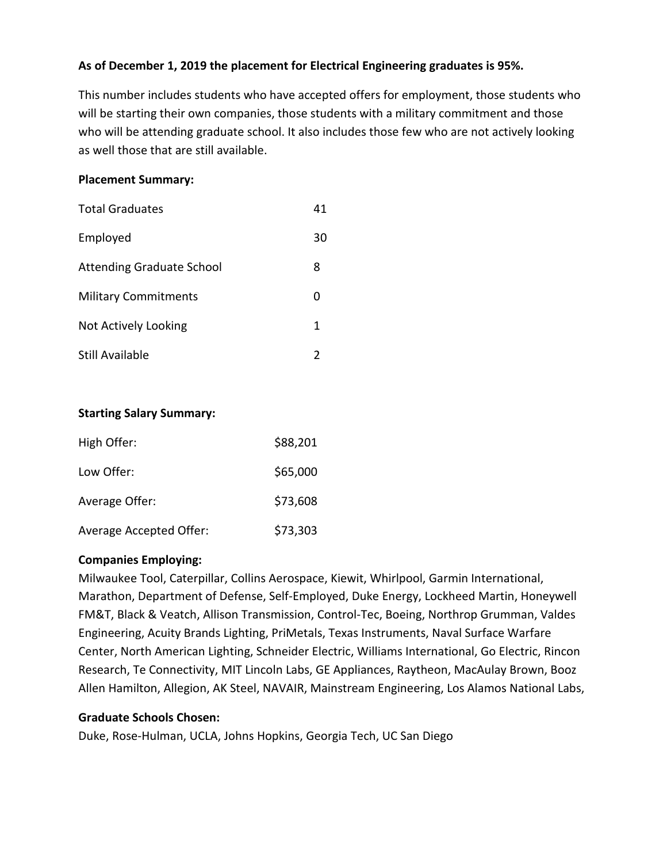## **As of December 1, 2019 the placement for Electrical Engineering graduates is 95%.**

This number includes students who have accepted offers for employment, those students who will be starting their own companies, those students with a military commitment and those who will be attending graduate school. It also includes those few who are not actively looking as well those that are still available.

#### **Placement Summary:**

| <b>Total Graduates</b>           | 41 |
|----------------------------------|----|
| Employed                         | 30 |
| <b>Attending Graduate School</b> | 8  |
| <b>Military Commitments</b>      | O  |
| Not Actively Looking             | 1  |
| Still Available                  |    |

#### **Starting Salary Summary:**

| High Offer:             | \$88,201 |
|-------------------------|----------|
| Low Offer:              | \$65,000 |
| Average Offer:          | \$73,608 |
| Average Accepted Offer: | \$73,303 |

#### **Companies Employing:**

Milwaukee Tool, Caterpillar, Collins Aerospace, Kiewit, Whirlpool, Garmin International, Marathon, Department of Defense, Self-Employed, Duke Energy, Lockheed Martin, Honeywell FM&T, Black & Veatch, Allison Transmission, Control-Tec, Boeing, Northrop Grumman, Valdes Engineering, Acuity Brands Lighting, PriMetals, Texas Instruments, Naval Surface Warfare Center, North American Lighting, Schneider Electric, Williams International, Go Electric, Rincon Research, Te Connectivity, MIT Lincoln Labs, GE Appliances, Raytheon, MacAulay Brown, Booz Allen Hamilton, Allegion, AK Steel, NAVAIR, Mainstream Engineering, Los Alamos National Labs,

## **Graduate Schools Chosen:**

Duke, Rose-Hulman, UCLA, Johns Hopkins, Georgia Tech, UC San Diego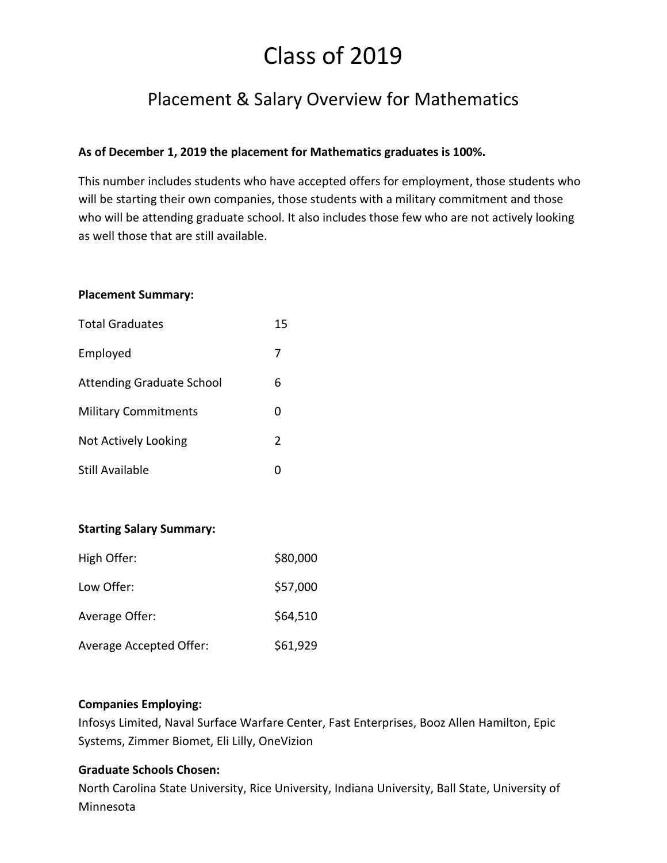# Placement & Salary Overview for Mathematics

## **As of December 1, 2019 the placement for Mathematics graduates is 100%.**

This number includes students who have accepted offers for employment, those students who will be starting their own companies, those students with a military commitment and those who will be attending graduate school. It also includes those few who are not actively looking as well those that are still available.

#### **Placement Summary:**

| <b>Total Graduates</b>           | 15 |
|----------------------------------|----|
| Employed                         | 7  |
| <b>Attending Graduate School</b> | 6  |
| <b>Military Commitments</b>      | n  |
| Not Actively Looking             | 2  |
| Still Available                  |    |

## **Starting Salary Summary:**

| High Offer:             | \$80,000 |
|-------------------------|----------|
| Low Offer:              | \$57,000 |
| Average Offer:          | \$64,510 |
| Average Accepted Offer: | \$61,929 |

#### **Companies Employing:**

Infosys Limited, Naval Surface Warfare Center, Fast Enterprises, Booz Allen Hamilton, Epic Systems, Zimmer Biomet, Eli Lilly, OneVizion

## **Graduate Schools Chosen:**

North Carolina State University, Rice University, Indiana University, Ball State, University of Minnesota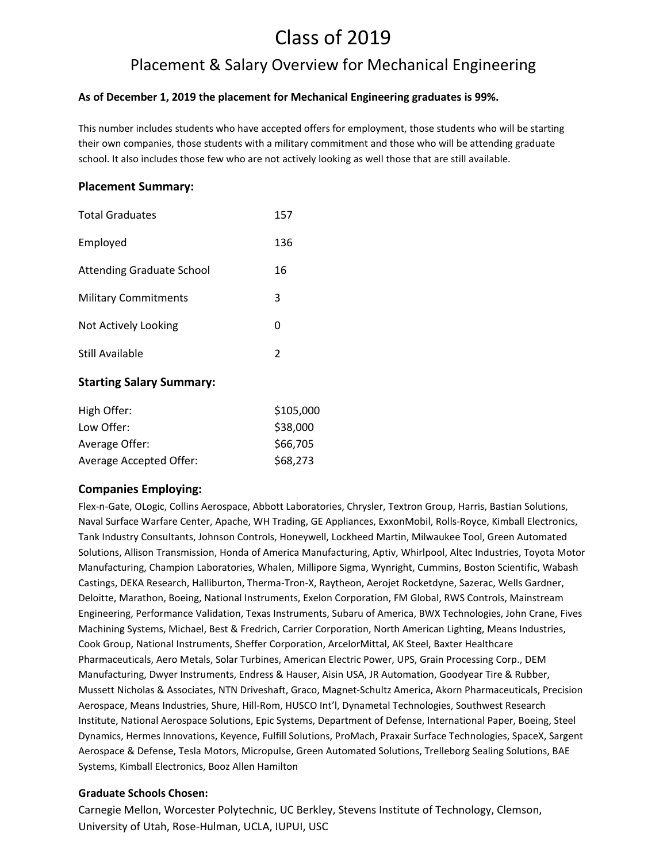# Placement & Salary Overview for Mechanical Engineering

#### **As of December 1, 2019 the placement for Mechanical Engineering graduates is 99%.**

This number includes students who have accepted offers for employment, those students who will be starting their own companies, those students with a military commitment and those who will be attending graduate school. It also includes those few who are not actively looking as well those that are still available.

#### **Placement Summary:**

| <b>Total Graduates</b>           | 157 |
|----------------------------------|-----|
| Employed                         | 136 |
| <b>Attending Graduate School</b> | 16  |
| <b>Military Commitments</b>      | 3   |
| Not Actively Looking             | ი   |
| Still Available                  | 2   |

#### **Starting Salary Summary:**

| High Offer:             | \$105,000 |
|-------------------------|-----------|
| Low Offer:              | \$38,000  |
| Average Offer:          | \$66,705  |
| Average Accepted Offer: | \$68,273  |

#### **Companies Employing:**

Flex-n-Gate, OLogic, Collins Aerospace, Abbott Laboratories, Chrysler, Textron Group, Harris, Bastian Solutions, Naval Surface Warfare Center, Apache, WH Trading, GE Appliances, ExxonMobil, Rolls-Royce, Kimball Electronics, Tank Industry Consultants, Johnson Controls, Honeywell, Lockheed Martin, Milwaukee Tool, Green Automated Solutions, Allison Transmission, Honda of America Manufacturing, Aptiv, Whirlpool, Altec Industries, Toyota Motor Manufacturing, Champion Laboratories, Whalen, Millipore Sigma, Wynright, Cummins, Boston Scientific, Wabash Castings, DEKA Research, Halliburton, Therma-Tron-X, Raytheon, Aerojet Rocketdyne, Sazerac, Wells Gardner, Deloitte, Marathon, Boeing, National Instruments, Exelon Corporation, FM Global, RWS Controls, Mainstream Engineering, Performance Validation, Texas Instruments, Subaru of America, BWX Technologies, John Crane, Fives Machining Systems, Michael, Best & Fredrich, Carrier Corporation, North American Lighting, Means Industries, Cook Group, National Instruments, Sheffer Corporation, ArcelorMittal, AK Steel, Baxter Healthcare Pharmaceuticals, Aero Metals, Solar Turbines, American Electric Power, UPS, Grain Processing Corp., DEM Manufacturing, Dwyer Instruments, Endress & Hauser, Aisin USA, JR Automation, Goodyear Tire & Rubber, Mussett Nicholas & Associates, NTN Driveshaft, Graco, Magnet-Schultz America, Akorn Pharmaceuticals, Precision Aerospace, Means Industries, Shure, Hill-Rom, HUSCO Int'l, Dynametal Technologies, Southwest Research Institute, National Aerospace Solutions, Epic Systems, Department of Defense, International Paper, Boeing, Steel Dynamics, Hermes Innovations, Keyence, Fulfill Solutions, ProMach, Praxair Surface Technologies, SpaceX, Sargent Aerospace & Defense, Tesla Motors, Micropulse, Green Automated Solutions, Trelleborg Sealing Solutions, BAE Systems, Kimball Electronics, Booz Allen Hamilton

#### **Graduate Schools Chosen:**

Carnegie Mellon, Worcester Polytechnic, UC Berkley, Stevens Institute of Technology, Clemson, University of Utah, Rose-Hulman, UCLA, IUPUI, USC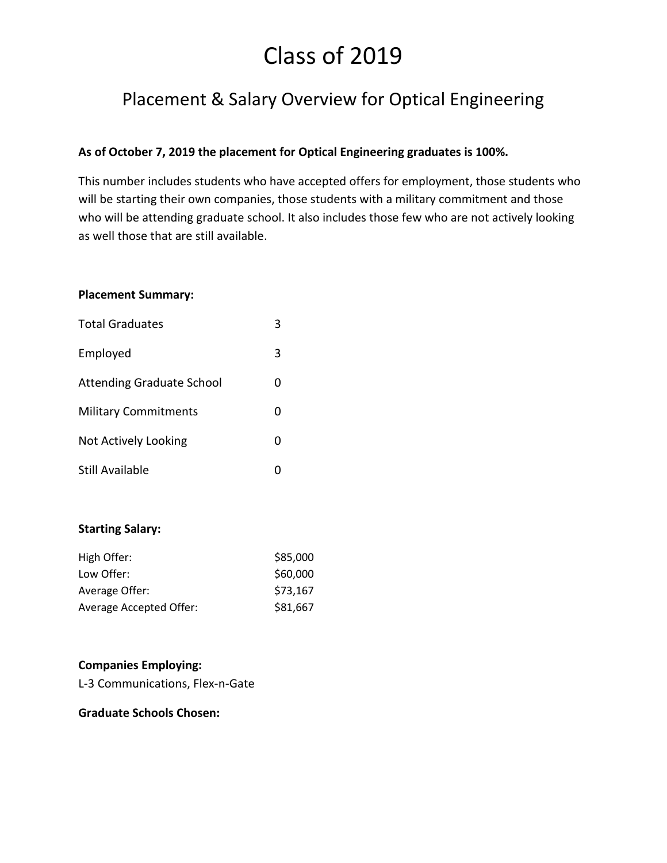# Placement & Salary Overview for Optical Engineering

## **As of October 7, 2019 the placement for Optical Engineering graduates is 100%.**

This number includes students who have accepted offers for employment, those students who will be starting their own companies, those students with a military commitment and those who will be attending graduate school. It also includes those few who are not actively looking as well those that are still available.

#### **Placement Summary:**

| <b>Total Graduates</b>           |   |
|----------------------------------|---|
| Employed                         | 3 |
| <b>Attending Graduate School</b> |   |
| <b>Military Commitments</b>      |   |
| Not Actively Looking             |   |
| Still Available                  |   |

## **Starting Salary:**

| High Offer:                    | \$85,000 |
|--------------------------------|----------|
| Low Offer:                     | \$60,000 |
| Average Offer:                 | \$73,167 |
| <b>Average Accepted Offer:</b> | \$81,667 |

#### **Companies Employing:**

L-3 Communications, Flex-n-Gate

#### **Graduate Schools Chosen:**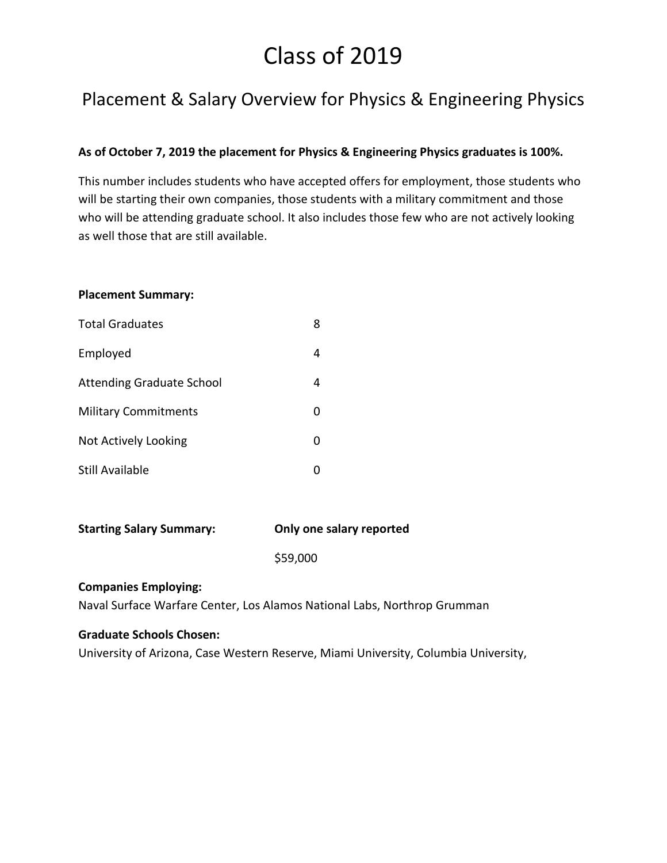# Placement & Salary Overview for Physics & Engineering Physics

## **As of October 7, 2019 the placement for Physics & Engineering Physics graduates is 100%.**

This number includes students who have accepted offers for employment, those students who will be starting their own companies, those students with a military commitment and those who will be attending graduate school. It also includes those few who are not actively looking as well those that are still available.

#### **Placement Summary:**

| <b>Total Graduates</b>           | 8 |
|----------------------------------|---|
| Employed                         | 4 |
| <b>Attending Graduate School</b> | 4 |
| <b>Military Commitments</b>      | 0 |
| Not Actively Looking             | 0 |
| <b>Still Available</b>           |   |

| <b>Starting Salary Summary:</b> | Only one salary reported |
|---------------------------------|--------------------------|

\$59,000

#### **Companies Employing:**

Naval Surface Warfare Center, Los Alamos National Labs, Northrop Grumman

#### **Graduate Schools Chosen:**

University of Arizona, Case Western Reserve, Miami University, Columbia University,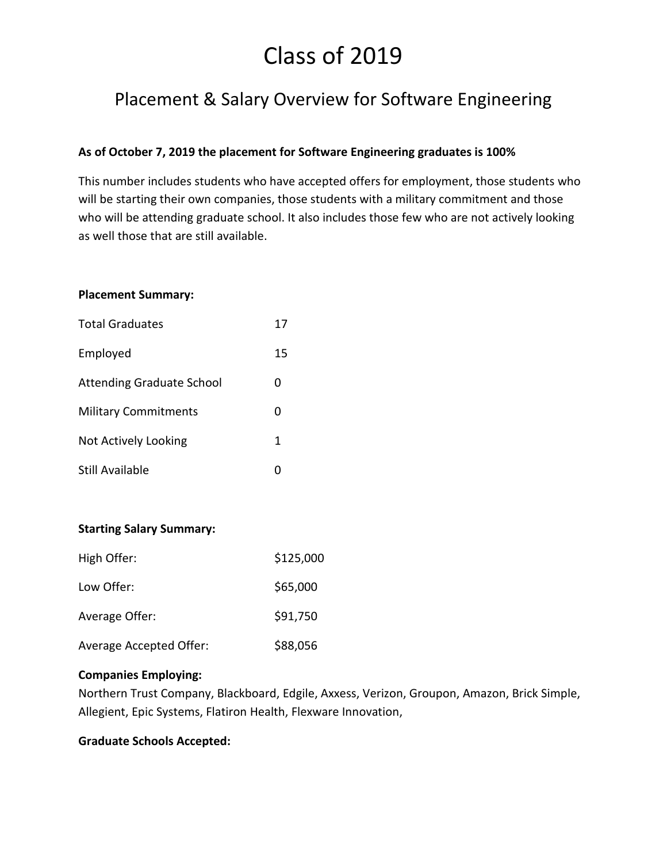# Placement & Salary Overview for Software Engineering

## **As of October 7, 2019 the placement for Software Engineering graduates is 100%**

This number includes students who have accepted offers for employment, those students who will be starting their own companies, those students with a military commitment and those who will be attending graduate school. It also includes those few who are not actively looking as well those that are still available.

#### **Placement Summary:**

| <b>Total Graduates</b>           | 17 |
|----------------------------------|----|
| Employed                         | 15 |
| <b>Attending Graduate School</b> | O  |
| <b>Military Commitments</b>      | O  |
| Not Actively Looking             | 1  |
| Still Available                  |    |

## **Starting Salary Summary:**

| High Offer:             | \$125,000 |
|-------------------------|-----------|
| Low Offer:              | \$65,000  |
| Average Offer:          | \$91,750  |
| Average Accepted Offer: | \$88,056  |

#### **Companies Employing:**

Northern Trust Company, Blackboard, Edgile, Axxess, Verizon, Groupon, Amazon, Brick Simple, Allegient, Epic Systems, Flatiron Health, Flexware Innovation,

#### **Graduate Schools Accepted:**